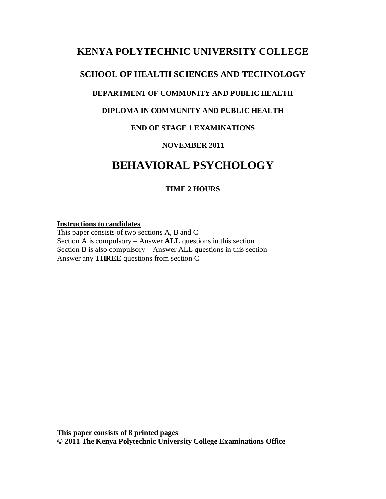## **KENYA POLYTECHNIC UNIVERSITY COLLEGE**

## **SCHOOL OF HEALTH SCIENCES AND TECHNOLOGY**

### **DEPARTMENT OF COMMUNITY AND PUBLIC HEALTH**

### **DIPLOMA IN COMMUNITY AND PUBLIC HEALTH**

### **END OF STAGE 1 EXAMINATIONS**

#### **NOVEMBER 2011**

# **BEHAVIORAL PSYCHOLOGY**

### **TIME 2 HOURS**

#### **Instructions to candidates**

This paper consists of two sections A, B and C Section A is compulsory – Answer **ALL** questions in this section Section B is also compulsory – Answer ALL questions in this section Answer any **THREE** questions from section C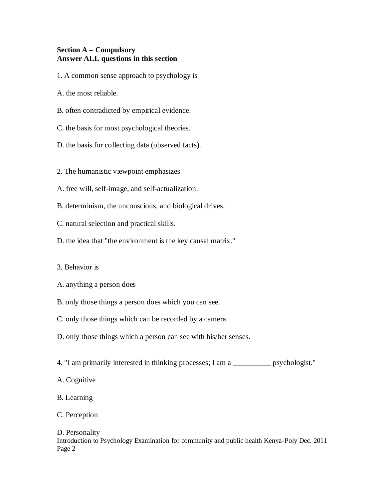#### **Section A – Compulsory Answer ALL questions in this section**

1. A common sense approach to psychology is

A. the most reliable.

B. often contradicted by empirical evidence.

C. the basis for most psychological theories.

D. the basis for collecting data (observed facts).

2. The humanistic viewpoint emphasizes

A. free will, self-image, and self-actualization.

B. determinism, the unconscious, and biological drives.

C. natural selection and practical skills.

D. the idea that "the environment is the key causal matrix."

3. Behavior is

A. anything a person does

B. only those things a person does which you can see.

C. only those things which can be recorded by a camera.

D. only those things which a person can see with his/her senses.

4. "I am primarily interested in thinking processes; I am a \_\_\_\_\_\_\_\_\_\_ psychologist."

A. Cognitive

B. Learning

C. Perception

#### D. Personality

Introduction to Psychology Examination for community and public health Kenya-Poly Dec. 2011 Page 2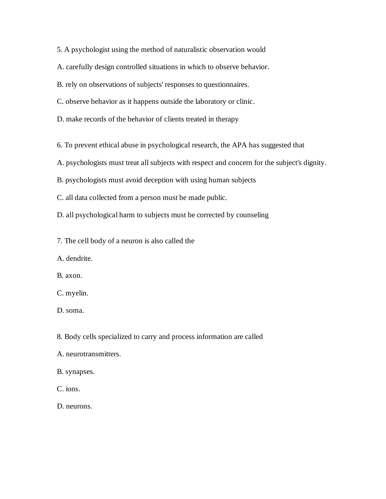5. A psychologist using the method of naturalistic observation would

A. carefully design controlled situations in which to observe behavior.

B. rely on observations of subjects' responses to questionnaires.

C. observe behavior as it happens outside the laboratory or clinic.

D. make records of the behavior of clients treated in therapy

6. To prevent ethical abuse in psychological research, the APA has suggested that

A. psychologists must treat all subjects with respect and concern for the subject's dignity.

B. psychologists must avoid deception with using human subjects

C. all data collected from a person must be made public.

D. all psychological harm to subjects must be corrected by counseling

7. The cell body of a neuron is also called the

A. dendrite.

B. axon.

C. myelin.

D. soma.

8. Body cells specialized to carry and process information are called

A. neurotransmitters.

B. synapses.

C. ions.

D. neurons.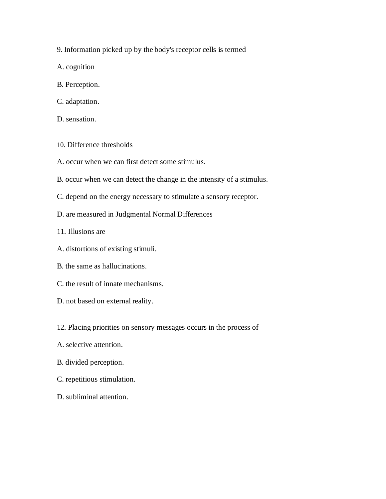9. Information picked up by the body's receptor cells is termed

A. cognition

- B. Perception.
- C. adaptation.
- D. sensation.
- 10. Difference thresholds
- A. occur when we can first detect some stimulus.
- B. occur when we can detect the change in the intensity of a stimulus.
- C. depend on the energy necessary to stimulate a sensory receptor.
- D. are measured in Judgmental Normal Differences
- 11. Illusions are
- A. distortions of existing stimuli.
- B. the same as hallucinations.
- C. the result of innate mechanisms.
- D. not based on external reality.
- 12. Placing priorities on sensory messages occurs in the process of
- A. selective attention.
- B. divided perception.
- C. repetitious stimulation.
- D. subliminal attention.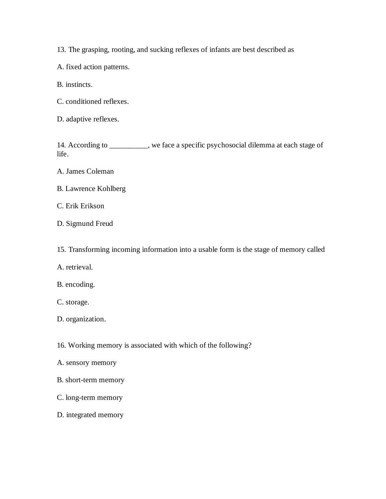13. The grasping, rooting, and sucking reflexes of infants are best described as

A. fixed action patterns.

B. instincts.

C. conditioned reflexes.

D. adaptive reflexes.

14. According to \_\_\_\_\_\_\_\_\_\_, we face a specific psychosocial dilemma at each stage of life.

A. James Coleman

B. Lawrence Kohlberg

C. Erik Erikson

D. Sigmund Freud

15. Transforming incoming information into a usable form is the stage of memory called

A. retrieval.

B. encoding.

C. storage.

D. organization.

16. Working memory is associated with which of the following?

- A. sensory memory
- B. short-term memory
- C. long-term memory
- D. integrated memory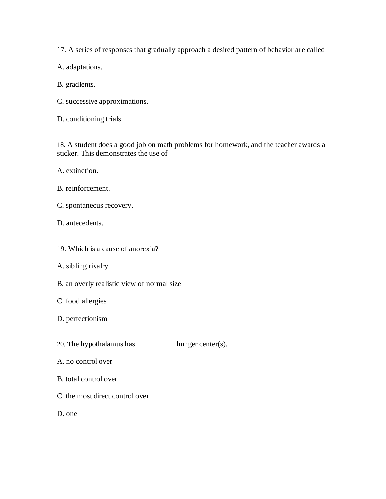17. A series of responses that gradually approach a desired pattern of behavior are called

A. adaptations.

B. gradients.

C. successive approximations.

D. conditioning trials.

18. A student does a good job on math problems for homework, and the teacher awards a sticker. This demonstrates the use of

A. extinction.

- B. reinforcement.
- C. spontaneous recovery.
- D. antecedents.
- 19. Which is a cause of anorexia?
- A. sibling rivalry
- B. an overly realistic view of normal size
- C. food allergies
- D. perfectionism

20. The hypothalamus has  $\frac{1}{2}$  hunger center(s).

- A. no control over
- B. total control over
- C. the most direct control over

D. one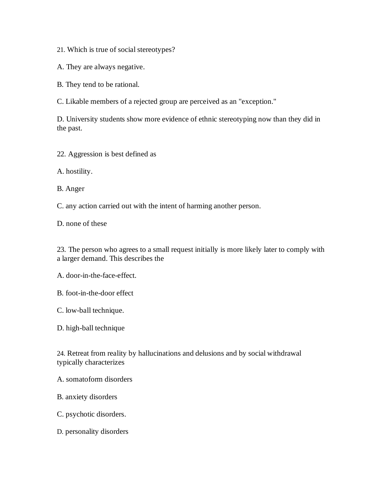21. Which is true of social stereotypes?

A. They are always negative.

B. They tend to be rational.

C. Likable members of a rejected group are perceived as an "exception."

D. University students show more evidence of ethnic stereotyping now than they did in the past.

22. Aggression is best defined as

A. hostility.

B. Anger

C. any action carried out with the intent of harming another person.

D. none of these

23. The person who agrees to a small request initially is more likely later to comply with a larger demand. This describes the

A. door-in-the-face-effect.

B. foot-in-the-door effect

C. low-ball technique.

D. high-ball technique

24. Retreat from reality by hallucinations and delusions and by social withdrawal typically characterizes

A. somatoform disorders

B. anxiety disorders

C. psychotic disorders.

D. personality disorders